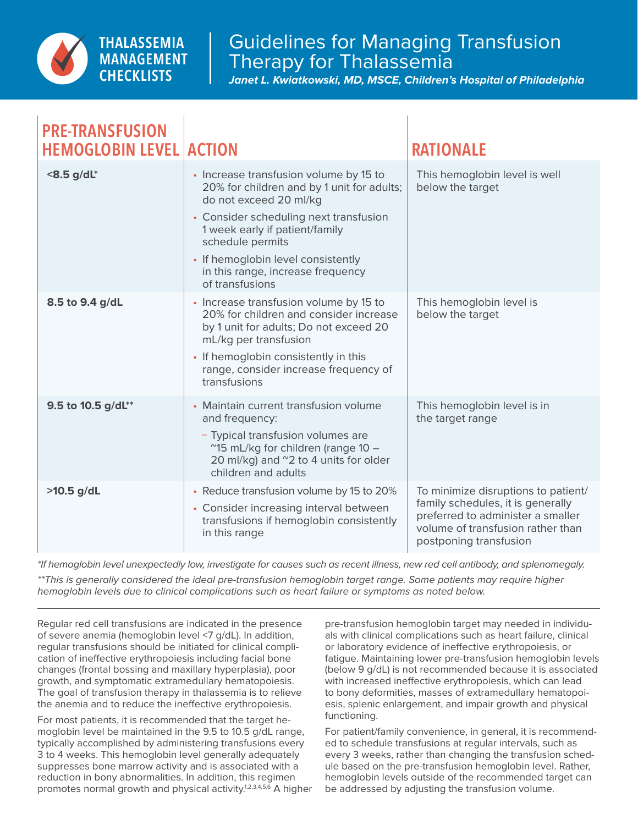

**PRE-TRANSFUSION** 

## Guidelines for Managing Transfusion Therapy for Thalassemia

*Janet L. Kwiatkowski, MD, MSCE, Children's Hospital of Philadelphia*

| PRE-IRANSFUSION<br><b>HEMOGLOBIN LEVEL</b> | <b>ACTION</b>                                                                                                                                                                                                                                                                                                | <b>RATIONALE</b>                                                                                                                                                             |
|--------------------------------------------|--------------------------------------------------------------------------------------------------------------------------------------------------------------------------------------------------------------------------------------------------------------------------------------------------------------|------------------------------------------------------------------------------------------------------------------------------------------------------------------------------|
| <8.5 g/dL*                                 | • Increase transfusion volume by 15 to<br>20% for children and by 1 unit for adults;<br>do not exceed 20 ml/kg<br>• Consider scheduling next transfusion<br>1 week early if patient/family<br>schedule permits<br>• If hemoglobin level consistently<br>in this range, increase frequency<br>of transfusions | This hemoglobin level is well<br>below the target                                                                                                                            |
| 8.5 to 9.4 g/dL                            | • Increase transfusion volume by 15 to<br>20% for children and consider increase<br>by 1 unit for adults; Do not exceed 20<br>mL/kg per transfusion<br>• If hemoglobin consistently in this<br>range, consider increase frequency of<br>transfusions                                                         | This hemoglobin level is<br>below the target                                                                                                                                 |
| 9.5 to 10.5 g/dL**                         | • Maintain current transfusion volume<br>and frequency:<br>- Typical transfusion volumes are<br>~15 mL/kg for children (range 10 -<br>20 ml/kg) and "2 to 4 units for older<br>children and adults                                                                                                           | This hemoglobin level is in<br>the target range                                                                                                                              |
| $>10.5$ g/dL                               | • Reduce transfusion volume by 15 to 20%<br>• Consider increasing interval between<br>transfusions if hemoglobin consistently<br>in this range                                                                                                                                                               | To minimize disruptions to patient/<br>family schedules, it is generally<br>preferred to administer a smaller<br>volume of transfusion rather than<br>postponing transfusion |

*\*If hemoglobin level unexpectedly low, investigate for causes such as recent illness, new red cell antibody, and splenomegaly.*

*\*\*This is generally considered the ideal pre-transfusion hemoglobin target range. Some patients may require higher hemoglobin levels due to clinical complications such as heart failure or symptoms as noted below.*

Regular red cell transfusions are indicated in the presence of severe anemia (hemoglobin level <7 g/dL). In addition, regular transfusions should be initiated for clinical complication of ineffective erythropoiesis including facial bone changes (frontal bossing and maxillary hyperplasia), poor growth, and symptomatic extramedullary hematopoiesis. The goal of transfusion therapy in thalassemia is to relieve the anemia and to reduce the ineffective erythropoiesis.

For most patients, it is recommended that the target hemoglobin level be maintained in the 9.5 to 10.5 g/dL range, typically accomplished by administering transfusions every 3 to 4 weeks. This hemoglobin level generally adequately suppresses bone marrow activity and is associated with a reduction in bony abnormalities. In addition, this regimen promotes normal growth and physical activity.<sup>1,2,3,4,5,6</sup> A higher pre-transfusion hemoglobin target may needed in individuals with clinical complications such as heart failure, clinical or laboratory evidence of ineffective erythropoiesis, or fatigue. Maintaining lower pre-transfusion hemoglobin levels (below 9 g/dL) is not recommended because it is associated with increased ineffective erythropoiesis, which can lead to bony deformities, masses of extramedullary hematopoiesis, splenic enlargement, and impair growth and physical functioning.

For patient/family convenience, in general, it is recommended to schedule transfusions at regular intervals, such as every 3 weeks, rather than changing the transfusion schedule based on the pre-transfusion hemoglobin level. Rather, hemoglobin levels outside of the recommended target can be addressed by adjusting the transfusion volume.